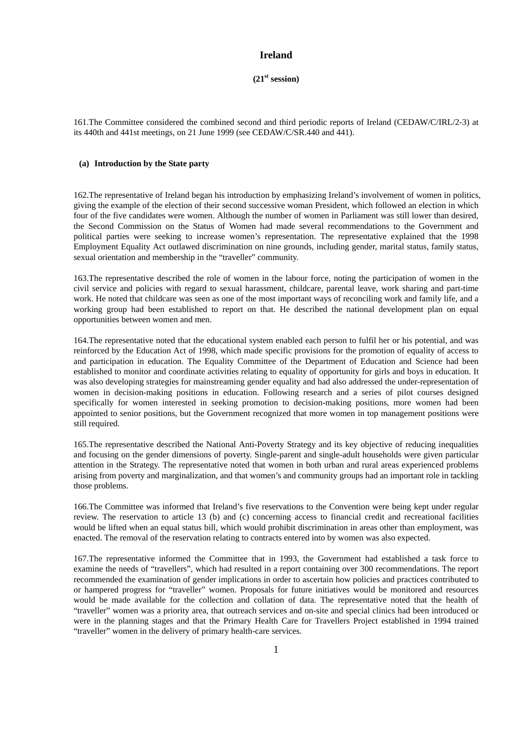# **Ireland**

 $(21<sup>st</sup> session)$ 

161.The Committee considered the combined second and third periodic reports of Ireland (CEDAW/C/IRL/2-3) at its 440th and 441st meetings, on 21 June 1999 (see CEDAW/C/SR.440 and 441).

## **(a) Introduction by the State party**

162.The representative of Ireland began his introduction by emphasizing Ireland's involvement of women in politics, giving the example of the election of their second successive woman President, which followed an election in which four of the five candidates were women. Although the number of women in Parliament was still lower than desired, the Second Commission on the Status of Women had made several recommendations to the Government and political parties were seeking to increase women's representation. The representative explained that the 1998 Employment Equality Act outlawed discrimination on nine grounds, including gender, marital status, family status, sexual orientation and membership in the "traveller" community.

163.The representative described the role of women in the labour force, noting the participation of women in the civil service and policies with regard to sexual harassment, childcare, parental leave, work sharing and part-time work. He noted that childcare was seen as one of the most important ways of reconciling work and family life, and a working group had been established to report on that. He described the national development plan on equal opportunities between women and men.

164.The representative noted that the educational system enabled each person to fulfil her or his potential, and was reinforced by the Education Act of 1998, which made specific provisions for the promotion of equality of access to and participation in education. The Equality Committee of the Department of Education and Science had been established to monitor and coordinate activities relating to equality of opportunity for girls and boys in education. It was also developing strategies for mainstreaming gender equality and had also addressed the under-representation of women in decision-making positions in education. Following research and a series of pilot courses designed specifically for women interested in seeking promotion to decision-making positions, more women had been appointed to senior positions, but the Government recognized that more women in top management positions were still required.

165.The representative described the National Anti-Poverty Strategy and its key objective of reducing inequalities and focusing on the gender dimensions of poverty. Single-parent and single-adult households were given particular attention in the Strategy. The representative noted that women in both urban and rural areas experienced problems arising from poverty and marginalization, and that women's and community groups had an important role in tackling those problems.

166.The Committee was informed that Ireland's five reservations to the Convention were being kept under regular review. The reservation to article 13 (b) and (c) concerning access to financial credit and recreational facilities would be lifted when an equal status bill, which would prohibit discrimination in areas other than employment, was enacted. The removal of the reservation relating to contracts entered into by women was also expected.

167.The representative informed the Committee that in 1993, the Government had established a task force to examine the needs of "travellers", which had resulted in a report containing over 300 recommendations. The report recommended the examination of gender implications in order to ascertain how policies and practices contributed to or hampered progress for "traveller" women. Proposals for future initiatives would be monitored and resources would be made available for the collection and collation of data. The representative noted that the health of "traveller" women was a priority area, that outreach services and on-site and special clinics had been introduced or were in the planning stages and that the Primary Health Care for Travellers Project established in 1994 trained "traveller" women in the delivery of primary health-care services.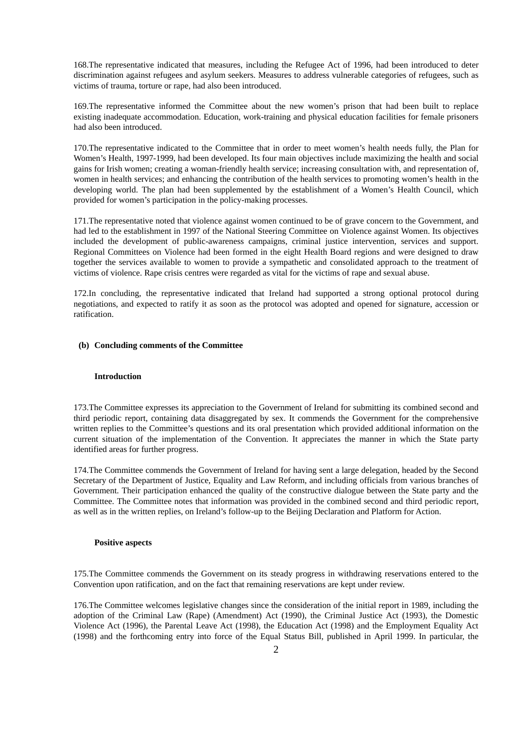168.The representative indicated that measures, including the Refugee Act of 1996, had been introduced to deter discrimination against refugees and asylum seekers. Measures to address vulnerable categories of refugees, such as victims of trauma, torture or rape, had also been introduced.

169.The representative informed the Committee about the new women's prison that had been built to replace existing inadequate accommodation. Education, work-training and physical education facilities for female prisoners had also been introduced.

170.The representative indicated to the Committee that in order to meet women's health needs fully, the Plan for Women's Health, 1997-1999, had been developed. Its four main objectives include maximizing the health and social gains for Irish women; creating a woman-friendly health service; increasing consultation with, and representation of, women in health services; and enhancing the contribution of the health services to promoting women's health in the developing world. The plan had been supplemented by the establishment of a Women's Health Council, which provided for women's participation in the policy-making processes.

171.The representative noted that violence against women continued to be of grave concern to the Government, and had led to the establishment in 1997 of the National Steering Committee on Violence against Women. Its objectives included the development of public-awareness campaigns, criminal justice intervention, services and support. Regional Committees on Violence had been formed in the eight Health Board regions and were designed to draw together the services available to women to provide a sympathetic and consolidated approach to the treatment of victims of violence. Rape crisis centres were regarded as vital for the victims of rape and sexual abuse.

172.In concluding, the representative indicated that Ireland had supported a strong optional protocol during negotiations, and expected to ratify it as soon as the protocol was adopted and opened for signature, accession or ratification.

# **(b) Concluding comments of the Committee**

## **Introduction**

173.The Committee expresses its appreciation to the Government of Ireland for submitting its combined second and third periodic report, containing data disaggregated by sex. It commends the Government for the comprehensive written replies to the Committee's questions and its oral presentation which provided additional information on the current situation of the implementation of the Convention. It appreciates the manner in which the State party identified areas for further progress.

174.The Committee commends the Government of Ireland for having sent a large delegation, headed by the Second Secretary of the Department of Justice, Equality and Law Reform, and including officials from various branches of Government. Their participation enhanced the quality of the constructive dialogue between the State party and the Committee. The Committee notes that information was provided in the combined second and third periodic report, as well as in the written replies, on Ireland's follow-up to the Beijing Declaration and Platform for Action.

#### **Positive aspects**

175.The Committee commends the Government on its steady progress in withdrawing reservations entered to the Convention upon ratification, and on the fact that remaining reservations are kept under review.

176.The Committee welcomes legislative changes since the consideration of the initial report in 1989, including the adoption of the Criminal Law (Rape) (Amendment) Act (1990), the Criminal Justice Act (1993), the Domestic Violence Act (1996), the Parental Leave Act (1998), the Education Act (1998) and the Employment Equality Act (1998) and the forthcoming entry into force of the Equal Status Bill, published in April 1999. In particular, the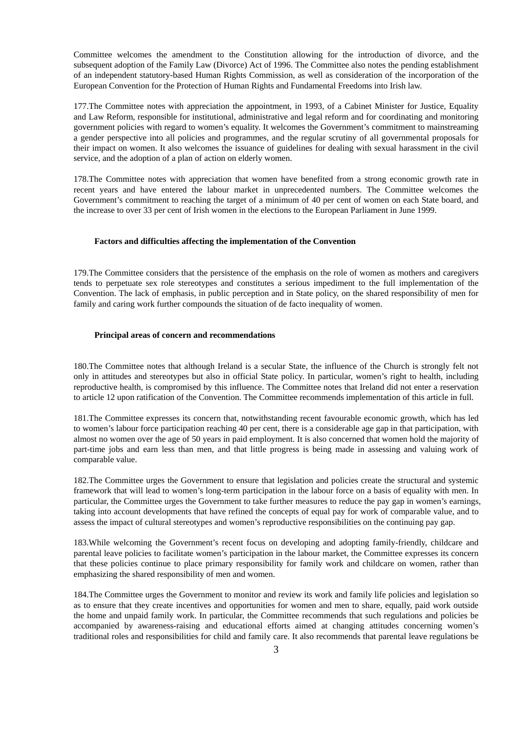Committee welcomes the amendment to the Constitution allowing for the introduction of divorce, and the subsequent adoption of the Family Law (Divorce) Act of 1996. The Committee also notes the pending establishment of an independent statutory-based Human Rights Commission, as well as consideration of the incorporation of the European Convention for the Protection of Human Rights and Fundamental Freedoms into Irish law.

177.The Committee notes with appreciation the appointment, in 1993, of a Cabinet Minister for Justice, Equality and Law Reform, responsible for institutional, administrative and legal reform and for coordinating and monitoring government policies with regard to women's equality. It welcomes the Government's commitment to mainstreaming a gender perspective into all policies and programmes, and the regular scrutiny of all governmental proposals for their impact on women. It also welcomes the issuance of guidelines for dealing with sexual harassment in the civil service, and the adoption of a plan of action on elderly women.

178.The Committee notes with appreciation that women have benefited from a strong economic growth rate in recent years and have entered the labour market in unprecedented numbers. The Committee welcomes the Government's commitment to reaching the target of a minimum of 40 per cent of women on each State board, and the increase to over 33 per cent of Irish women in the elections to the European Parliament in June 1999.

#### **Factors and difficulties affecting the implementation of the Convention**

179.The Committee considers that the persistence of the emphasis on the role of women as mothers and caregivers tends to perpetuate sex role stereotypes and constitutes a serious impediment to the full implementation of the Convention. The lack of emphasis, in public perception and in State policy, on the shared responsibility of men for family and caring work further compounds the situation of de facto inequality of women.

## **Principal areas of concern and recommendations**

180.The Committee notes that although Ireland is a secular State, the influence of the Church is strongly felt not only in attitudes and stereotypes but also in official State policy. In particular, women's right to health, including reproductive health, is compromised by this influence. The Committee notes that Ireland did not enter a reservation to article 12 upon ratification of the Convention. The Committee recommends implementation of this article in full.

181.The Committee expresses its concern that, notwithstanding recent favourable economic growth, which has led to women's labour force participation reaching 40 per cent, there is a considerable age gap in that participation, with almost no women over the age of 50 years in paid employment. It is also concerned that women hold the majority of part-time jobs and earn less than men, and that little progress is being made in assessing and valuing work of comparable value.

182.The Committee urges the Government to ensure that legislation and policies create the structural and systemic framework that will lead to women's long-term participation in the labour force on a basis of equality with men. In particular, the Committee urges the Government to take further measures to reduce the pay gap in women's earnings, taking into account developments that have refined the concepts of equal pay for work of comparable value, and to assess the impact of cultural stereotypes and women's reproductive responsibilities on the continuing pay gap.

183.While welcoming the Government's recent focus on developing and adopting family-friendly, childcare and parental leave policies to facilitate women's participation in the labour market, the Committee expresses its concern that these policies continue to place primary responsibility for family work and childcare on women, rather than emphasizing the shared responsibility of men and women.

184.The Committee urges the Government to monitor and review its work and family life policies and legislation so as to ensure that they create incentives and opportunities for women and men to share, equally, paid work outside the home and unpaid family work. In particular, the Committee recommends that such regulations and policies be accompanied by awareness-raising and educational efforts aimed at changing attitudes concerning women's traditional roles and responsibilities for child and family care. It also recommends that parental leave regulations be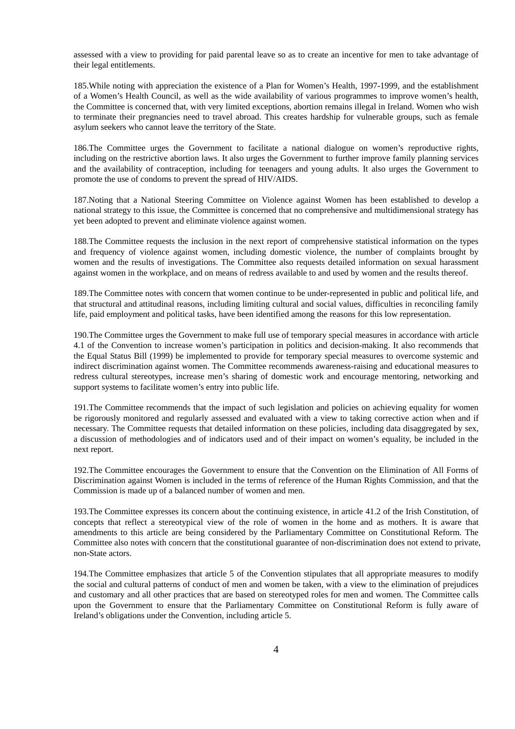assessed with a view to providing for paid parental leave so as to create an incentive for men to take advantage of their legal entitlements.

185.While noting with appreciation the existence of a Plan for Women's Health, 1997-1999, and the establishment of a Women's Health Council, as well as the wide availability of various programmes to improve women's health, the Committee is concerned that, with very limited exceptions, abortion remains illegal in Ireland. Women who wish to terminate their pregnancies need to travel abroad. This creates hardship for vulnerable groups, such as female asylum seekers who cannot leave the territory of the State.

186.The Committee urges the Government to facilitate a national dialogue on women's reproductive rights, including on the restrictive abortion laws. It also urges the Government to further improve family planning services and the availability of contraception, including for teenagers and young adults. It also urges the Government to promote the use of condoms to prevent the spread of HIV/AIDS.

187.Noting that a National Steering Committee on Violence against Women has been established to develop a national strategy to this issue, the Committee is concerned that no comprehensive and multidimensional strategy has yet been adopted to prevent and eliminate violence against women.

188.The Committee requests the inclusion in the next report of comprehensive statistical information on the types and frequency of violence against women, including domestic violence, the number of complaints brought by women and the results of investigations. The Committee also requests detailed information on sexual harassment against women in the workplace, and on means of redress available to and used by women and the results thereof.

189.The Committee notes with concern that women continue to be under-represented in public and political life, and that structural and attitudinal reasons, including limiting cultural and social values, difficulties in reconciling family life, paid employment and political tasks, have been identified among the reasons for this low representation.

190.The Committee urges the Government to make full use of temporary special measures in accordance with article 4.1 of the Convention to increase women's participation in politics and decision-making. It also recommends that the Equal Status Bill (1999) be implemented to provide for temporary special measures to overcome systemic and indirect discrimination against women. The Committee recommends awareness-raising and educational measures to redress cultural stereotypes, increase men's sharing of domestic work and encourage mentoring, networking and support systems to facilitate women's entry into public life.

191.The Committee recommends that the impact of such legislation and policies on achieving equality for women be rigorously monitored and regularly assessed and evaluated with a view to taking corrective action when and if necessary. The Committee requests that detailed information on these policies, including data disaggregated by sex, a discussion of methodologies and of indicators used and of their impact on women's equality, be included in the next report.

192.The Committee encourages the Government to ensure that the Convention on the Elimination of All Forms of Discrimination against Women is included in the terms of reference of the Human Rights Commission, and that the Commission is made up of a balanced number of women and men.

193.The Committee expresses its concern about the continuing existence, in article 41.2 of the Irish Constitution, of concepts that reflect a stereotypical view of the role of women in the home and as mothers. It is aware that amendments to this article are being considered by the Parliamentary Committee on Constitutional Reform. The Committee also notes with concern that the constitutional guarantee of non-discrimination does not extend to private, non-State actors.

194.The Committee emphasizes that article 5 of the Convention stipulates that all appropriate measures to modify the social and cultural patterns of conduct of men and women be taken, with a view to the elimination of prejudices and customary and all other practices that are based on stereotyped roles for men and women. The Committee calls upon the Government to ensure that the Parliamentary Committee on Constitutional Reform is fully aware of Ireland's obligations under the Convention, including article 5.